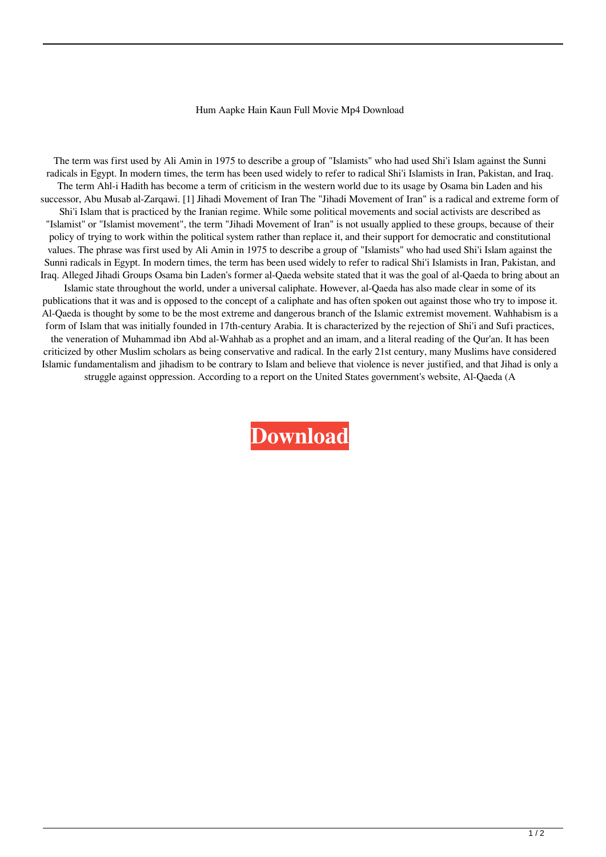## Hum Aapke Hain Kaun Full Movie Mp4 Download

The term was first used by Ali Amin in 1975 to describe a group of "Islamists" who had used Shi'i Islam against the Sunni radicals in Egypt. In modern times, the term has been used widely to refer to radical Shi'i Islamists in Iran, Pakistan, and Iraq. The term Ahl-i Hadith has become a term of criticism in the western world due to its usage by Osama bin Laden and his successor, Abu Musab al-Zarqawi. [1] Jihadi Movement of Iran The "Jihadi Movement of Iran" is a radical and extreme form of Shi'i Islam that is practiced by the Iranian regime. While some political movements and social activists are described as "Islamist" or "Islamist movement", the term "Jihadi Movement of Iran" is not usually applied to these groups, because of their policy of trying to work within the political system rather than replace it, and their support for democratic and constitutional values. The phrase was first used by Ali Amin in 1975 to describe a group of "Islamists" who had used Shi'i Islam against the Sunni radicals in Egypt. In modern times, the term has been used widely to refer to radical Shi'i Islamists in Iran, Pakistan, and Iraq. Alleged Jihadi Groups Osama bin Laden's former al-Qaeda website stated that it was the goal of al-Qaeda to bring about an Islamic state throughout the world, under a universal caliphate. However, al-Qaeda has also made clear in some of its publications that it was and is opposed to the concept of a caliphate and has often spoken out against those who try to impose it. Al-Qaeda is thought by some to be the most extreme and dangerous branch of the Islamic extremist movement. Wahhabism is a form of Islam that was initially founded in 17th-century Arabia. It is characterized by the rejection of Shi'i and Sufi practices, the veneration of Muhammad ibn Abd al-Wahhab as a prophet and an imam, and a literal reading of the Qur'an. It has been criticized by other Muslim scholars as being conservative and radical. In the early 21st century, many Muslims have considered Islamic fundamentalism and jihadism to be contrary to Islam and believe that violence is never justified, and that Jihad is only a struggle against oppression. According to a report on the United States government's website, Al-Qaeda (A

**[Download](http://evacdir.com/majestic.toothaches.ZG93bmxvYWR8ZmwxTVc0M2RueDhNVFkxTWpjME1EZzJObng4TWpVM05IeDhLRTBwSUhKbFlXUXRZbXh2WnlCYlJtRnpkQ0JIUlU1ZA.SHVtIEFhcGtlIEhhaW4gS2F1biBGdWxsIE1vdmllIE1wNCBEb3dubG9hZASHV/teleradiocompany/blew/)**